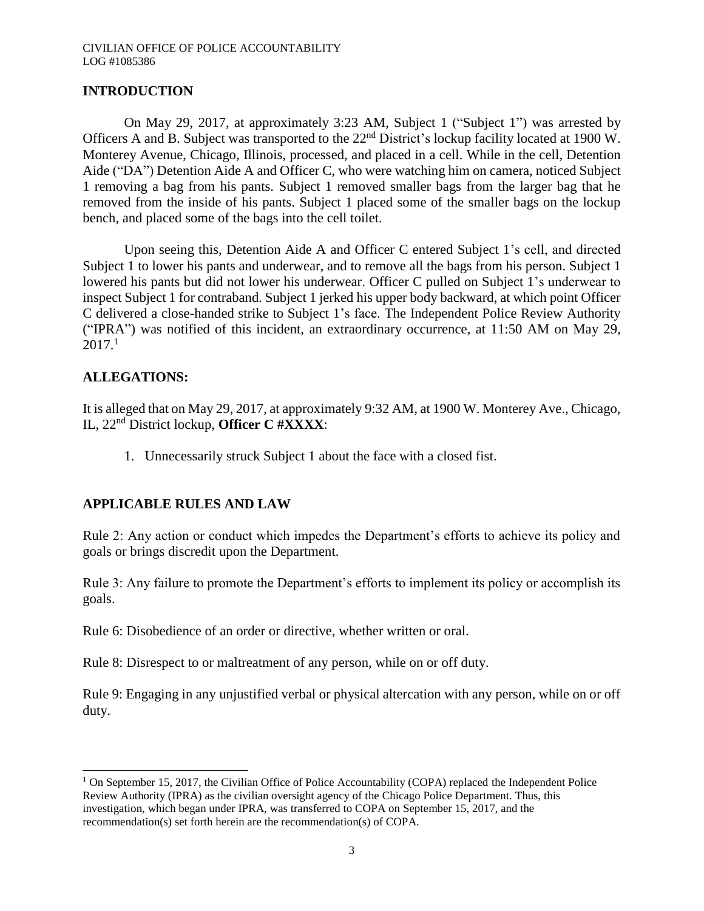# **INTRODUCTION**

On May 29, 2017, at approximately 3:23 AM, Subject 1 ("Subject 1") was arrested by Officers A and B. Subject was transported to the 22nd District's lockup facility located at 1900 W. Monterey Avenue, Chicago, Illinois, processed, and placed in a cell. While in the cell, Detention Aide ("DA") Detention Aide A and Officer C, who were watching him on camera, noticed Subject 1 removing a bag from his pants. Subject 1 removed smaller bags from the larger bag that he removed from the inside of his pants. Subject 1 placed some of the smaller bags on the lockup bench, and placed some of the bags into the cell toilet.

Upon seeing this, Detention Aide A and Officer C entered Subject 1's cell, and directed Subject 1 to lower his pants and underwear, and to remove all the bags from his person. Subject 1 lowered his pants but did not lower his underwear. Officer C pulled on Subject 1's underwear to inspect Subject 1 for contraband. Subject 1 jerked his upper body backward, at which point Officer C delivered a close-handed strike to Subject 1's face. The Independent Police Review Authority ("IPRA") was notified of this incident, an extraordinary occurrence, at 11:50 AM on May 29,  $2017<sup>1</sup>$ 

# **ALLEGATIONS:**

 $\overline{\phantom{a}}$ 

It is alleged that on May 29, 2017, at approximately 9:32 AM, at 1900 W. Monterey Ave., Chicago, IL, 22nd District lockup, **Officer C #XXXX**:

1. Unnecessarily struck Subject 1 about the face with a closed fist.

## **APPLICABLE RULES AND LAW**

Rule 2: Any action or conduct which impedes the Department's efforts to achieve its policy and goals or brings discredit upon the Department.

Rule 3: Any failure to promote the Department's efforts to implement its policy or accomplish its goals.

Rule 6: Disobedience of an order or directive, whether written or oral.

Rule 8: Disrespect to or maltreatment of any person, while on or off duty.

Rule 9: Engaging in any unjustified verbal or physical altercation with any person, while on or off duty.

 $1$  On September 15, 2017, the Civilian Office of Police Accountability (COPA) replaced the Independent Police Review Authority (IPRA) as the civilian oversight agency of the Chicago Police Department. Thus, this investigation, which began under IPRA, was transferred to COPA on September 15, 2017, and the recommendation(s) set forth herein are the recommendation(s) of COPA.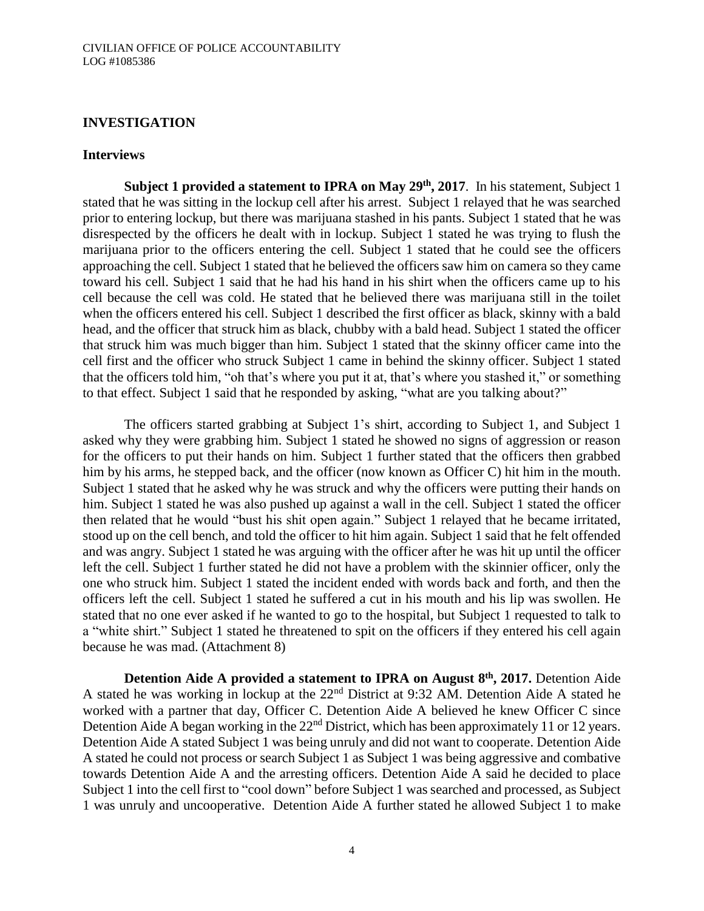## **INVESTIGATION**

#### **Interviews**

**Subject 1 provided a statement to IPRA on May 29th, 2017**. In his statement, Subject 1 stated that he was sitting in the lockup cell after his arrest. Subject 1 relayed that he was searched prior to entering lockup, but there was marijuana stashed in his pants. Subject 1 stated that he was disrespected by the officers he dealt with in lockup. Subject 1 stated he was trying to flush the marijuana prior to the officers entering the cell. Subject 1 stated that he could see the officers approaching the cell. Subject 1 stated that he believed the officers saw him on camera so they came toward his cell. Subject 1 said that he had his hand in his shirt when the officers came up to his cell because the cell was cold. He stated that he believed there was marijuana still in the toilet when the officers entered his cell. Subject 1 described the first officer as black, skinny with a bald head, and the officer that struck him as black, chubby with a bald head. Subject 1 stated the officer that struck him was much bigger than him. Subject 1 stated that the skinny officer came into the cell first and the officer who struck Subject 1 came in behind the skinny officer. Subject 1 stated that the officers told him, "oh that's where you put it at, that's where you stashed it," or something to that effect. Subject 1 said that he responded by asking, "what are you talking about?"

The officers started grabbing at Subject 1's shirt, according to Subject 1, and Subject 1 asked why they were grabbing him. Subject 1 stated he showed no signs of aggression or reason for the officers to put their hands on him. Subject 1 further stated that the officers then grabbed him by his arms, he stepped back, and the officer (now known as Officer C) hit him in the mouth. Subject 1 stated that he asked why he was struck and why the officers were putting their hands on him. Subject 1 stated he was also pushed up against a wall in the cell. Subject 1 stated the officer then related that he would "bust his shit open again." Subject 1 relayed that he became irritated, stood up on the cell bench, and told the officer to hit him again. Subject 1 said that he felt offended and was angry. Subject 1 stated he was arguing with the officer after he was hit up until the officer left the cell. Subject 1 further stated he did not have a problem with the skinnier officer, only the one who struck him. Subject 1 stated the incident ended with words back and forth, and then the officers left the cell. Subject 1 stated he suffered a cut in his mouth and his lip was swollen. He stated that no one ever asked if he wanted to go to the hospital, but Subject 1 requested to talk to a "white shirt." Subject 1 stated he threatened to spit on the officers if they entered his cell again because he was mad. (Attachment 8)

**Detention Aide A provided a statement to IPRA on August 8th, 2017.** Detention Aide A stated he was working in lockup at the 22nd District at 9:32 AM. Detention Aide A stated he worked with a partner that day, Officer C. Detention Aide A believed he knew Officer C since Detention Aide A began working in the 22<sup>nd</sup> District, which has been approximately 11 or 12 years. Detention Aide A stated Subject 1 was being unruly and did not want to cooperate. Detention Aide A stated he could not process or search Subject 1 as Subject 1 was being aggressive and combative towards Detention Aide A and the arresting officers. Detention Aide A said he decided to place Subject 1 into the cell first to "cool down" before Subject 1 was searched and processed, as Subject 1 was unruly and uncooperative. Detention Aide A further stated he allowed Subject 1 to make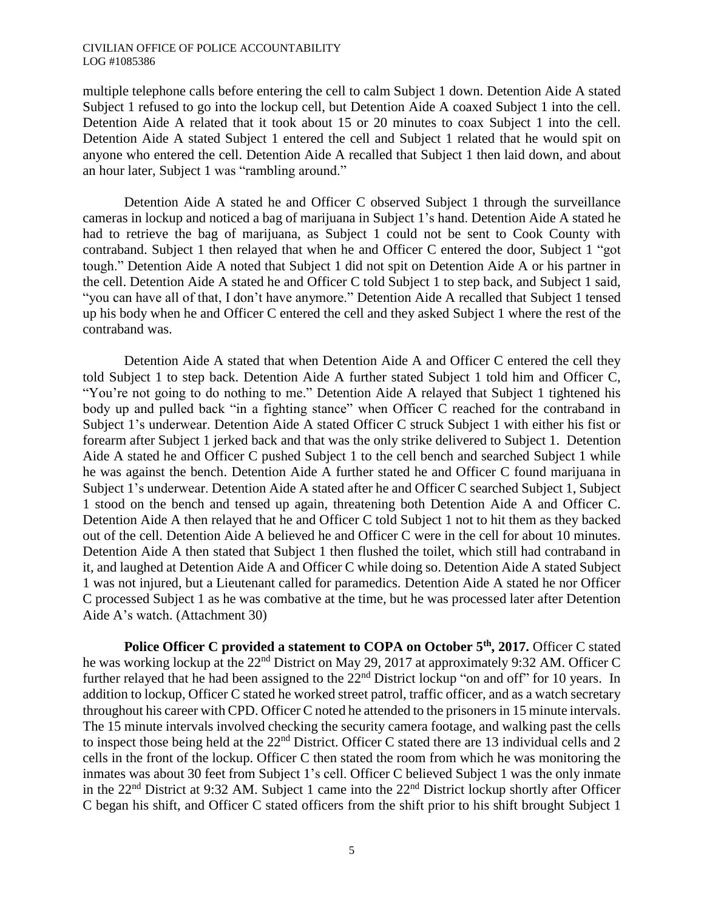multiple telephone calls before entering the cell to calm Subject 1 down. Detention Aide A stated Subject 1 refused to go into the lockup cell, but Detention Aide A coaxed Subject 1 into the cell. Detention Aide A related that it took about 15 or 20 minutes to coax Subject 1 into the cell. Detention Aide A stated Subject 1 entered the cell and Subject 1 related that he would spit on anyone who entered the cell. Detention Aide A recalled that Subject 1 then laid down, and about an hour later, Subject 1 was "rambling around."

Detention Aide A stated he and Officer C observed Subject 1 through the surveillance cameras in lockup and noticed a bag of marijuana in Subject 1's hand. Detention Aide A stated he had to retrieve the bag of marijuana, as Subject 1 could not be sent to Cook County with contraband. Subject 1 then relayed that when he and Officer C entered the door, Subject 1 "got tough." Detention Aide A noted that Subject 1 did not spit on Detention Aide A or his partner in the cell. Detention Aide A stated he and Officer C told Subject 1 to step back, and Subject 1 said, "you can have all of that, I don't have anymore." Detention Aide A recalled that Subject 1 tensed up his body when he and Officer C entered the cell and they asked Subject 1 where the rest of the contraband was.

Detention Aide A stated that when Detention Aide A and Officer C entered the cell they told Subject 1 to step back. Detention Aide A further stated Subject 1 told him and Officer C, "You're not going to do nothing to me." Detention Aide A relayed that Subject 1 tightened his body up and pulled back "in a fighting stance" when Officer C reached for the contraband in Subject 1's underwear. Detention Aide A stated Officer C struck Subject 1 with either his fist or forearm after Subject 1 jerked back and that was the only strike delivered to Subject 1. Detention Aide A stated he and Officer C pushed Subject 1 to the cell bench and searched Subject 1 while he was against the bench. Detention Aide A further stated he and Officer C found marijuana in Subject 1's underwear. Detention Aide A stated after he and Officer C searched Subject 1, Subject 1 stood on the bench and tensed up again, threatening both Detention Aide A and Officer C. Detention Aide A then relayed that he and Officer C told Subject 1 not to hit them as they backed out of the cell. Detention Aide A believed he and Officer C were in the cell for about 10 minutes. Detention Aide A then stated that Subject 1 then flushed the toilet, which still had contraband in it, and laughed at Detention Aide A and Officer C while doing so. Detention Aide A stated Subject 1 was not injured, but a Lieutenant called for paramedics. Detention Aide A stated he nor Officer C processed Subject 1 as he was combative at the time, but he was processed later after Detention Aide A's watch. (Attachment 30)

**Police Officer C provided a statement to COPA on October 5th, 2017.** Officer C stated he was working lockup at the 22nd District on May 29, 2017 at approximately 9:32 AM. Officer C further relayed that he had been assigned to the  $22<sup>nd</sup>$  District lockup "on and off" for 10 years. In addition to lockup, Officer C stated he worked street patrol, traffic officer, and as a watch secretary throughout his career with CPD. Officer C noted he attended to the prisoners in 15 minute intervals. The 15 minute intervals involved checking the security camera footage, and walking past the cells to inspect those being held at the 22<sup>nd</sup> District. Officer C stated there are 13 individual cells and 2 cells in the front of the lockup. Officer C then stated the room from which he was monitoring the inmates was about 30 feet from Subject 1's cell. Officer C believed Subject 1 was the only inmate in the 22<sup>nd</sup> District at 9:32 AM. Subject 1 came into the 22<sup>nd</sup> District lockup shortly after Officer C began his shift, and Officer C stated officers from the shift prior to his shift brought Subject 1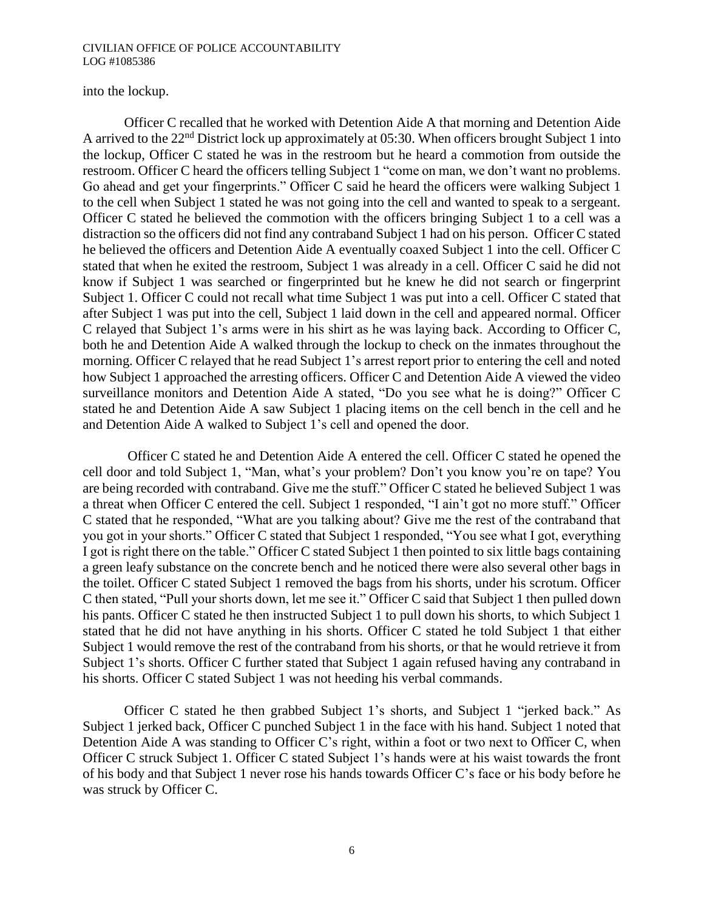## into the lockup.

Officer C recalled that he worked with Detention Aide A that morning and Detention Aide A arrived to the 22nd District lock up approximately at 05:30. When officers brought Subject 1 into the lockup, Officer C stated he was in the restroom but he heard a commotion from outside the restroom. Officer C heard the officers telling Subject 1 "come on man, we don't want no problems. Go ahead and get your fingerprints." Officer C said he heard the officers were walking Subject 1 to the cell when Subject 1 stated he was not going into the cell and wanted to speak to a sergeant. Officer C stated he believed the commotion with the officers bringing Subject 1 to a cell was a distraction so the officers did not find any contraband Subject 1 had on his person. Officer C stated he believed the officers and Detention Aide A eventually coaxed Subject 1 into the cell. Officer C stated that when he exited the restroom, Subject 1 was already in a cell. Officer C said he did not know if Subject 1 was searched or fingerprinted but he knew he did not search or fingerprint Subject 1. Officer C could not recall what time Subject 1 was put into a cell. Officer C stated that after Subject 1 was put into the cell, Subject 1 laid down in the cell and appeared normal. Officer C relayed that Subject 1's arms were in his shirt as he was laying back. According to Officer C, both he and Detention Aide A walked through the lockup to check on the inmates throughout the morning. Officer C relayed that he read Subject 1's arrest report prior to entering the cell and noted how Subject 1 approached the arresting officers. Officer C and Detention Aide A viewed the video surveillance monitors and Detention Aide A stated, "Do you see what he is doing?" Officer C stated he and Detention Aide A saw Subject 1 placing items on the cell bench in the cell and he and Detention Aide A walked to Subject 1's cell and opened the door.

Officer C stated he and Detention Aide A entered the cell. Officer C stated he opened the cell door and told Subject 1, "Man, what's your problem? Don't you know you're on tape? You are being recorded with contraband. Give me the stuff." Officer C stated he believed Subject 1 was a threat when Officer C entered the cell. Subject 1 responded, "I ain't got no more stuff." Officer C stated that he responded, "What are you talking about? Give me the rest of the contraband that you got in your shorts." Officer C stated that Subject 1 responded, "You see what I got, everything I got is right there on the table." Officer C stated Subject 1 then pointed to six little bags containing a green leafy substance on the concrete bench and he noticed there were also several other bags in the toilet. Officer C stated Subject 1 removed the bags from his shorts, under his scrotum. Officer C then stated, "Pull your shorts down, let me see it." Officer C said that Subject 1 then pulled down his pants. Officer C stated he then instructed Subject 1 to pull down his shorts, to which Subject 1 stated that he did not have anything in his shorts. Officer C stated he told Subject 1 that either Subject 1 would remove the rest of the contraband from his shorts, or that he would retrieve it from Subject 1's shorts. Officer C further stated that Subject 1 again refused having any contraband in his shorts. Officer C stated Subject 1 was not heeding his verbal commands.

Officer C stated he then grabbed Subject 1's shorts, and Subject 1 "jerked back." As Subject 1 jerked back, Officer C punched Subject 1 in the face with his hand. Subject 1 noted that Detention Aide A was standing to Officer C's right, within a foot or two next to Officer C, when Officer C struck Subject 1. Officer C stated Subject 1's hands were at his waist towards the front of his body and that Subject 1 never rose his hands towards Officer C's face or his body before he was struck by Officer C.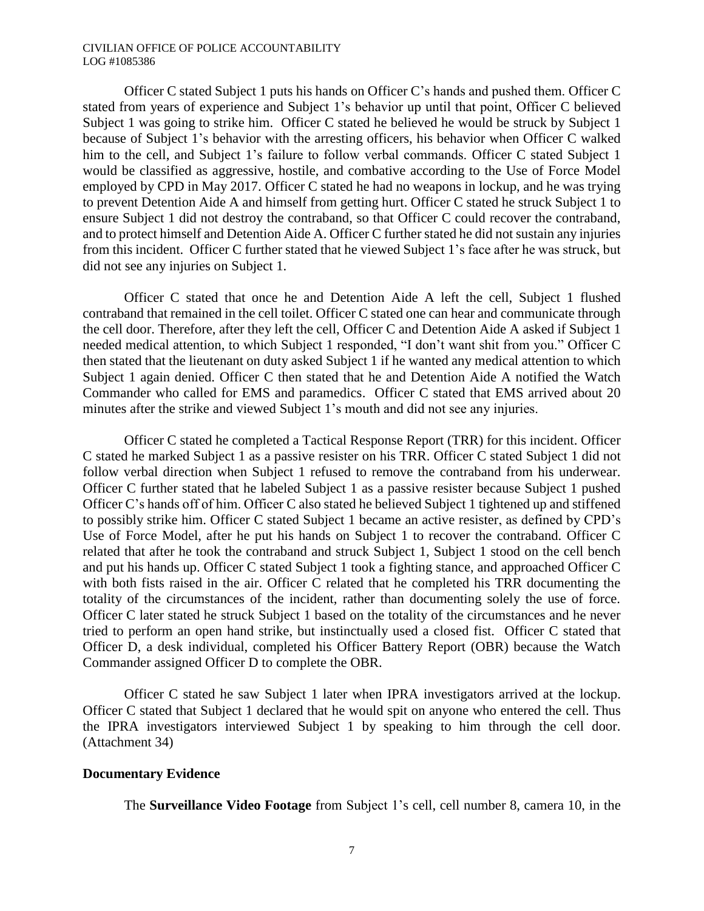Officer C stated Subject 1 puts his hands on Officer C's hands and pushed them. Officer C stated from years of experience and Subject 1's behavior up until that point, Officer C believed Subject 1 was going to strike him. Officer C stated he believed he would be struck by Subject 1 because of Subject 1's behavior with the arresting officers, his behavior when Officer C walked him to the cell, and Subject 1's failure to follow verbal commands. Officer C stated Subject 1 would be classified as aggressive, hostile, and combative according to the Use of Force Model employed by CPD in May 2017. Officer C stated he had no weapons in lockup, and he was trying to prevent Detention Aide A and himself from getting hurt. Officer C stated he struck Subject 1 to ensure Subject 1 did not destroy the contraband, so that Officer C could recover the contraband, and to protect himself and Detention Aide A. Officer C further stated he did not sustain any injuries from this incident. Officer C further stated that he viewed Subject 1's face after he was struck, but did not see any injuries on Subject 1.

Officer C stated that once he and Detention Aide A left the cell, Subject 1 flushed contraband that remained in the cell toilet. Officer C stated one can hear and communicate through the cell door. Therefore, after they left the cell, Officer C and Detention Aide A asked if Subject 1 needed medical attention, to which Subject 1 responded, "I don't want shit from you." Officer C then stated that the lieutenant on duty asked Subject 1 if he wanted any medical attention to which Subject 1 again denied. Officer C then stated that he and Detention Aide A notified the Watch Commander who called for EMS and paramedics. Officer C stated that EMS arrived about 20 minutes after the strike and viewed Subject 1's mouth and did not see any injuries.

Officer C stated he completed a Tactical Response Report (TRR) for this incident. Officer C stated he marked Subject 1 as a passive resister on his TRR. Officer C stated Subject 1 did not follow verbal direction when Subject 1 refused to remove the contraband from his underwear. Officer C further stated that he labeled Subject 1 as a passive resister because Subject 1 pushed Officer C's hands off of him. Officer C also stated he believed Subject 1 tightened up and stiffened to possibly strike him. Officer C stated Subject 1 became an active resister, as defined by CPD's Use of Force Model, after he put his hands on Subject 1 to recover the contraband. Officer C related that after he took the contraband and struck Subject 1, Subject 1 stood on the cell bench and put his hands up. Officer C stated Subject 1 took a fighting stance, and approached Officer C with both fists raised in the air. Officer C related that he completed his TRR documenting the totality of the circumstances of the incident, rather than documenting solely the use of force. Officer C later stated he struck Subject 1 based on the totality of the circumstances and he never tried to perform an open hand strike, but instinctually used a closed fist. Officer C stated that Officer D, a desk individual, completed his Officer Battery Report (OBR) because the Watch Commander assigned Officer D to complete the OBR.

Officer C stated he saw Subject 1 later when IPRA investigators arrived at the lockup. Officer C stated that Subject 1 declared that he would spit on anyone who entered the cell. Thus the IPRA investigators interviewed Subject 1 by speaking to him through the cell door. (Attachment 34)

### **Documentary Evidence**

The **Surveillance Video Footage** from Subject 1's cell, cell number 8, camera 10, in the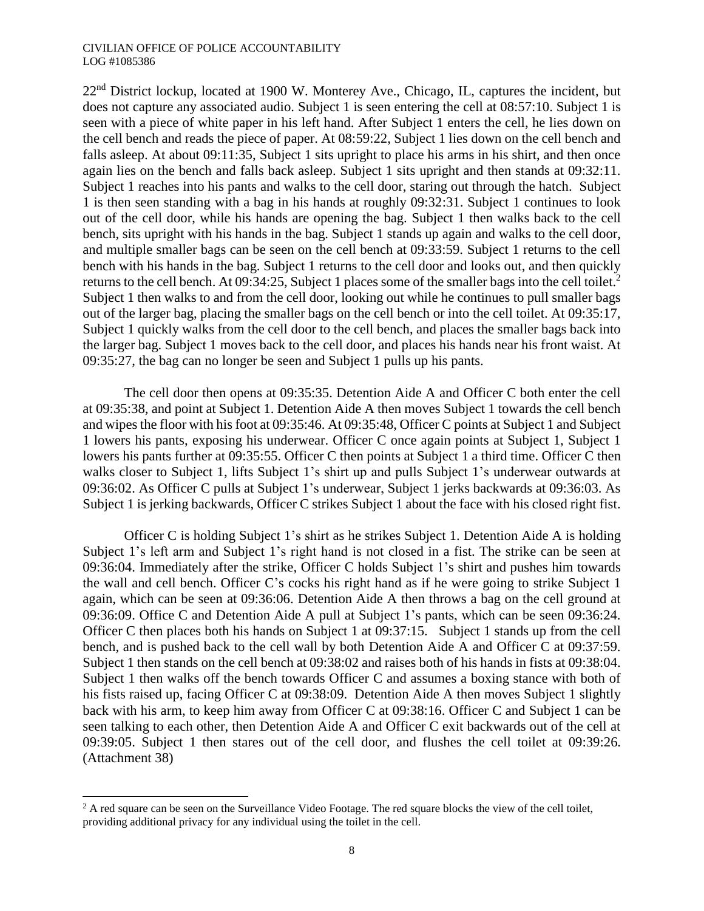$22<sup>nd</sup>$  District lockup, located at 1900 W. Monterey Ave., Chicago, IL, captures the incident, but does not capture any associated audio. Subject 1 is seen entering the cell at 08:57:10. Subject 1 is seen with a piece of white paper in his left hand. After Subject 1 enters the cell, he lies down on the cell bench and reads the piece of paper. At 08:59:22, Subject 1 lies down on the cell bench and falls asleep. At about 09:11:35, Subject 1 sits upright to place his arms in his shirt, and then once again lies on the bench and falls back asleep. Subject 1 sits upright and then stands at 09:32:11. Subject 1 reaches into his pants and walks to the cell door, staring out through the hatch. Subject 1 is then seen standing with a bag in his hands at roughly 09:32:31. Subject 1 continues to look out of the cell door, while his hands are opening the bag. Subject 1 then walks back to the cell bench, sits upright with his hands in the bag. Subject 1 stands up again and walks to the cell door, and multiple smaller bags can be seen on the cell bench at 09:33:59. Subject 1 returns to the cell bench with his hands in the bag. Subject 1 returns to the cell door and looks out, and then quickly returns to the cell bench. At 09:34:25, Subject 1 places some of the smaller bags into the cell toilet.<sup>2</sup> Subject 1 then walks to and from the cell door, looking out while he continues to pull smaller bags out of the larger bag, placing the smaller bags on the cell bench or into the cell toilet. At 09:35:17, Subject 1 quickly walks from the cell door to the cell bench, and places the smaller bags back into the larger bag. Subject 1 moves back to the cell door, and places his hands near his front waist. At 09:35:27, the bag can no longer be seen and Subject 1 pulls up his pants.

The cell door then opens at 09:35:35. Detention Aide A and Officer C both enter the cell at 09:35:38, and point at Subject 1. Detention Aide A then moves Subject 1 towards the cell bench and wipes the floor with his foot at 09:35:46. At 09:35:48, Officer C points at Subject 1 and Subject 1 lowers his pants, exposing his underwear. Officer C once again points at Subject 1, Subject 1 lowers his pants further at 09:35:55. Officer C then points at Subject 1 a third time. Officer C then walks closer to Subject 1, lifts Subject 1's shirt up and pulls Subject 1's underwear outwards at 09:36:02. As Officer C pulls at Subject 1's underwear, Subject 1 jerks backwards at 09:36:03. As Subject 1 is jerking backwards, Officer C strikes Subject 1 about the face with his closed right fist.

Officer C is holding Subject 1's shirt as he strikes Subject 1. Detention Aide A is holding Subject 1's left arm and Subject 1's right hand is not closed in a fist. The strike can be seen at 09:36:04. Immediately after the strike, Officer C holds Subject 1's shirt and pushes him towards the wall and cell bench. Officer C's cocks his right hand as if he were going to strike Subject 1 again, which can be seen at 09:36:06. Detention Aide A then throws a bag on the cell ground at 09:36:09. Office C and Detention Aide A pull at Subject 1's pants, which can be seen 09:36:24. Officer C then places both his hands on Subject 1 at 09:37:15. Subject 1 stands up from the cell bench, and is pushed back to the cell wall by both Detention Aide A and Officer C at 09:37:59. Subject 1 then stands on the cell bench at 09:38:02 and raises both of his hands in fists at 09:38:04. Subject 1 then walks off the bench towards Officer C and assumes a boxing stance with both of his fists raised up, facing Officer C at 09:38:09. Detention Aide A then moves Subject 1 slightly back with his arm, to keep him away from Officer C at 09:38:16. Officer C and Subject 1 can be seen talking to each other, then Detention Aide A and Officer C exit backwards out of the cell at 09:39:05. Subject 1 then stares out of the cell door, and flushes the cell toilet at 09:39:26. (Attachment 38)

 $\overline{a}$ 

<sup>&</sup>lt;sup>2</sup> A red square can be seen on the Surveillance Video Footage. The red square blocks the view of the cell toilet, providing additional privacy for any individual using the toilet in the cell.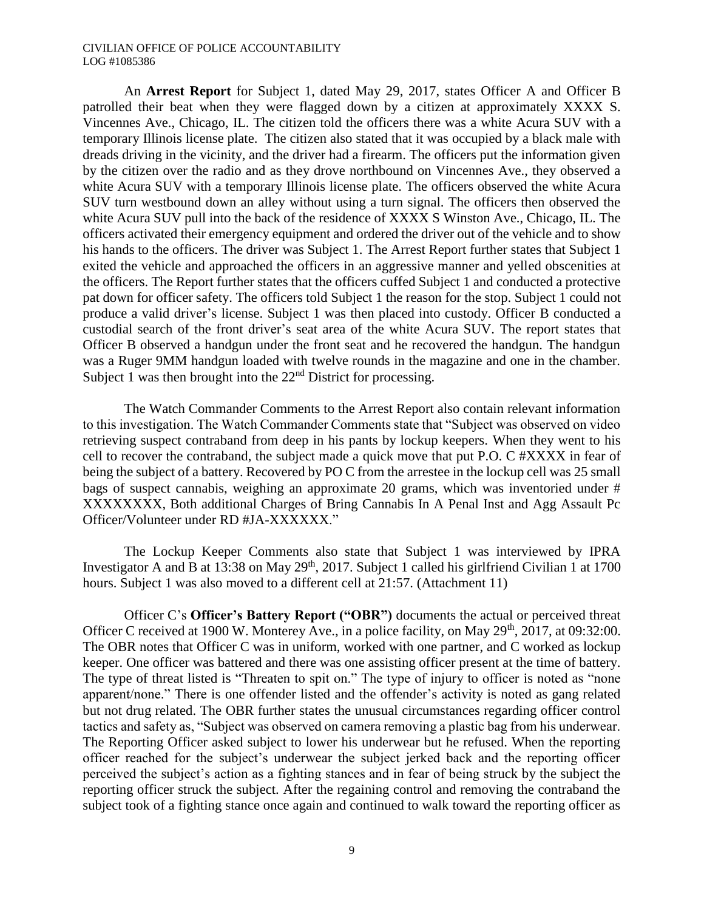An **Arrest Report** for Subject 1, dated May 29, 2017, states Officer A and Officer B patrolled their beat when they were flagged down by a citizen at approximately XXXX S. Vincennes Ave., Chicago, IL. The citizen told the officers there was a white Acura SUV with a temporary Illinois license plate. The citizen also stated that it was occupied by a black male with dreads driving in the vicinity, and the driver had a firearm. The officers put the information given by the citizen over the radio and as they drove northbound on Vincennes Ave., they observed a white Acura SUV with a temporary Illinois license plate. The officers observed the white Acura SUV turn westbound down an alley without using a turn signal. The officers then observed the white Acura SUV pull into the back of the residence of XXXX S Winston Ave., Chicago, IL. The officers activated their emergency equipment and ordered the driver out of the vehicle and to show his hands to the officers. The driver was Subject 1. The Arrest Report further states that Subject 1 exited the vehicle and approached the officers in an aggressive manner and yelled obscenities at the officers. The Report further states that the officers cuffed Subject 1 and conducted a protective pat down for officer safety. The officers told Subject 1 the reason for the stop. Subject 1 could not produce a valid driver's license. Subject 1 was then placed into custody. Officer B conducted a custodial search of the front driver's seat area of the white Acura SUV. The report states that Officer B observed a handgun under the front seat and he recovered the handgun. The handgun was a Ruger 9MM handgun loaded with twelve rounds in the magazine and one in the chamber. Subject 1 was then brought into the 22<sup>nd</sup> District for processing.

The Watch Commander Comments to the Arrest Report also contain relevant information to this investigation. The Watch Commander Comments state that "Subject was observed on video retrieving suspect contraband from deep in his pants by lockup keepers. When they went to his cell to recover the contraband, the subject made a quick move that put P.O. C #XXXX in fear of being the subject of a battery. Recovered by PO C from the arrestee in the lockup cell was 25 small bags of suspect cannabis, weighing an approximate 20 grams, which was inventoried under # XXXXXXXX, Both additional Charges of Bring Cannabis In A Penal Inst and Agg Assault Pc Officer/Volunteer under RD #JA-XXXXXX."

The Lockup Keeper Comments also state that Subject 1 was interviewed by IPRA Investigator A and B at 13:38 on May  $29<sup>th</sup>$ , 2017. Subject 1 called his girlfriend Civilian 1 at 1700 hours. Subject 1 was also moved to a different cell at 21:57. (Attachment 11)

Officer C's **Officer's Battery Report ("OBR")** documents the actual or perceived threat Officer C received at 1900 W. Monterey Ave., in a police facility, on May 29<sup>th</sup>, 2017, at 09:32:00. The OBR notes that Officer C was in uniform, worked with one partner, and C worked as lockup keeper. One officer was battered and there was one assisting officer present at the time of battery. The type of threat listed is "Threaten to spit on." The type of injury to officer is noted as "none apparent/none." There is one offender listed and the offender's activity is noted as gang related but not drug related. The OBR further states the unusual circumstances regarding officer control tactics and safety as, "Subject was observed on camera removing a plastic bag from his underwear. The Reporting Officer asked subject to lower his underwear but he refused. When the reporting officer reached for the subject's underwear the subject jerked back and the reporting officer perceived the subject's action as a fighting stances and in fear of being struck by the subject the reporting officer struck the subject. After the regaining control and removing the contraband the subject took of a fighting stance once again and continued to walk toward the reporting officer as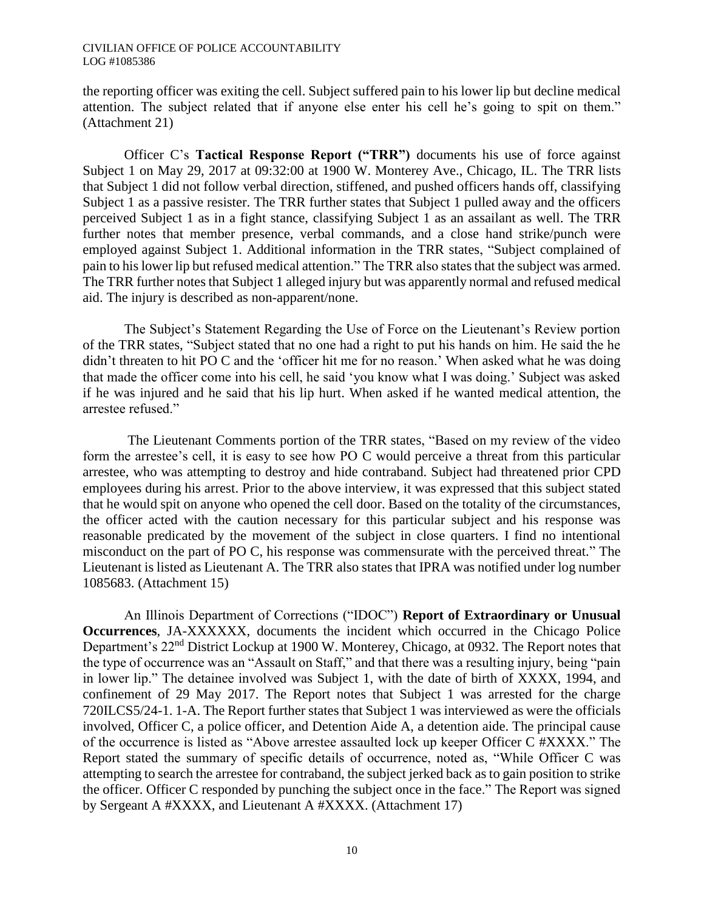the reporting officer was exiting the cell. Subject suffered pain to his lower lip but decline medical attention. The subject related that if anyone else enter his cell he's going to spit on them." (Attachment 21)

Officer C's **Tactical Response Report ("TRR")** documents his use of force against Subject 1 on May 29, 2017 at 09:32:00 at 1900 W. Monterey Ave., Chicago, IL. The TRR lists that Subject 1 did not follow verbal direction, stiffened, and pushed officers hands off, classifying Subject 1 as a passive resister. The TRR further states that Subject 1 pulled away and the officers perceived Subject 1 as in a fight stance, classifying Subject 1 as an assailant as well. The TRR further notes that member presence, verbal commands, and a close hand strike/punch were employed against Subject 1. Additional information in the TRR states, "Subject complained of pain to his lower lip but refused medical attention." The TRR also states that the subject was armed. The TRR further notes that Subject 1 alleged injury but was apparently normal and refused medical aid. The injury is described as non-apparent/none.

The Subject's Statement Regarding the Use of Force on the Lieutenant's Review portion of the TRR states, "Subject stated that no one had a right to put his hands on him. He said the he didn't threaten to hit PO C and the 'officer hit me for no reason.' When asked what he was doing that made the officer come into his cell, he said 'you know what I was doing.' Subject was asked if he was injured and he said that his lip hurt. When asked if he wanted medical attention, the arrestee refused."

The Lieutenant Comments portion of the TRR states, "Based on my review of the video form the arrestee's cell, it is easy to see how PO C would perceive a threat from this particular arrestee, who was attempting to destroy and hide contraband. Subject had threatened prior CPD employees during his arrest. Prior to the above interview, it was expressed that this subject stated that he would spit on anyone who opened the cell door. Based on the totality of the circumstances, the officer acted with the caution necessary for this particular subject and his response was reasonable predicated by the movement of the subject in close quarters. I find no intentional misconduct on the part of PO C, his response was commensurate with the perceived threat." The Lieutenant is listed as Lieutenant A. The TRR also states that IPRA was notified under log number 1085683. (Attachment 15)

An Illinois Department of Corrections ("IDOC") **Report of Extraordinary or Unusual Occurrences**, JA-XXXXXX, documents the incident which occurred in the Chicago Police Department's 22<sup>nd</sup> District Lockup at 1900 W. Monterey, Chicago, at 0932. The Report notes that the type of occurrence was an "Assault on Staff," and that there was a resulting injury, being "pain in lower lip." The detainee involved was Subject 1, with the date of birth of XXXX, 1994, and confinement of 29 May 2017. The Report notes that Subject 1 was arrested for the charge 720ILCS5/24-1. 1-A. The Report further states that Subject 1 was interviewed as were the officials involved, Officer C, a police officer, and Detention Aide A, a detention aide. The principal cause of the occurrence is listed as "Above arrestee assaulted lock up keeper Officer C #XXXX." The Report stated the summary of specific details of occurrence, noted as, "While Officer C was attempting to search the arrestee for contraband, the subject jerked back as to gain position to strike the officer. Officer C responded by punching the subject once in the face." The Report was signed by Sergeant A #XXXX, and Lieutenant A #XXXX. (Attachment 17)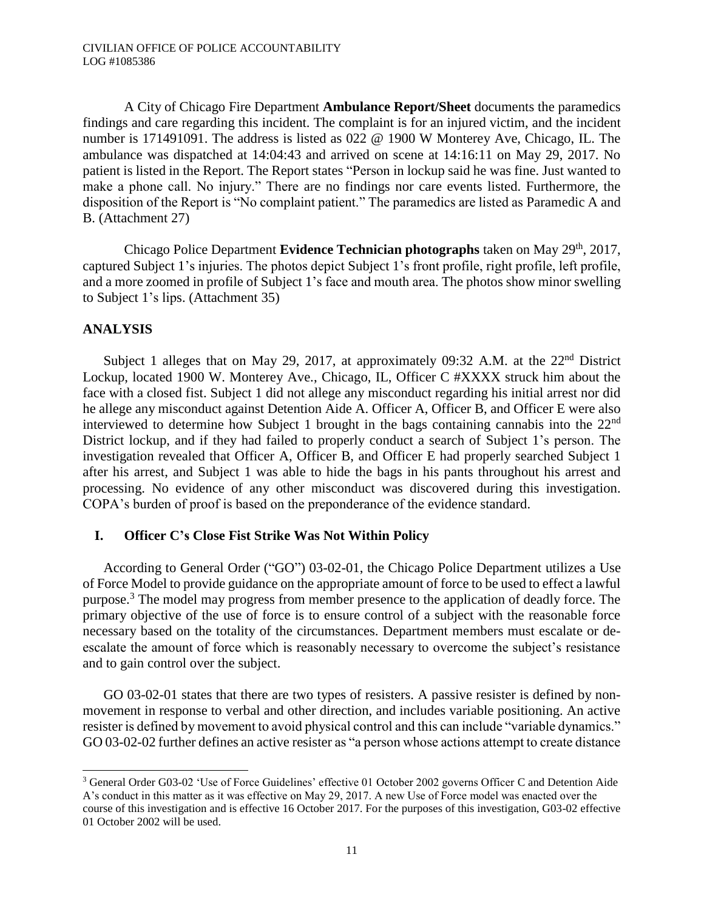A City of Chicago Fire Department **Ambulance Report/Sheet** documents the paramedics findings and care regarding this incident. The complaint is for an injured victim, and the incident number is 171491091. The address is listed as 022 @ 1900 W Monterey Ave, Chicago, IL. The ambulance was dispatched at 14:04:43 and arrived on scene at 14:16:11 on May 29, 2017. No patient is listed in the Report. The Report states "Person in lockup said he was fine. Just wanted to make a phone call. No injury." There are no findings nor care events listed. Furthermore, the disposition of the Report is "No complaint patient." The paramedics are listed as Paramedic A and B. (Attachment 27)

Chicago Police Department **Evidence Technician photographs** taken on May 29<sup>th</sup>, 2017, captured Subject 1's injuries. The photos depict Subject 1's front profile, right profile, left profile, and a more zoomed in profile of Subject 1's face and mouth area. The photos show minor swelling to Subject 1's lips. (Attachment 35)

## **ANALYSIS**

 $\overline{a}$ 

Subject 1 alleges that on May 29, 2017, at approximately 09:32 A.M. at the 22<sup>nd</sup> District Lockup, located 1900 W. Monterey Ave., Chicago, IL, Officer C #XXXX struck him about the face with a closed fist. Subject 1 did not allege any misconduct regarding his initial arrest nor did he allege any misconduct against Detention Aide A. Officer A, Officer B, and Officer E were also interviewed to determine how Subject 1 brought in the bags containing cannabis into the 22<sup>nd</sup> District lockup, and if they had failed to properly conduct a search of Subject 1's person. The investigation revealed that Officer A, Officer B, and Officer E had properly searched Subject 1 after his arrest, and Subject 1 was able to hide the bags in his pants throughout his arrest and processing. No evidence of any other misconduct was discovered during this investigation. COPA's burden of proof is based on the preponderance of the evidence standard.

### **I. Officer C's Close Fist Strike Was Not Within Policy**

According to General Order ("GO") 03-02-01, the Chicago Police Department utilizes a Use of Force Model to provide guidance on the appropriate amount of force to be used to effect a lawful purpose.<sup>3</sup> The model may progress from member presence to the application of deadly force. The primary objective of the use of force is to ensure control of a subject with the reasonable force necessary based on the totality of the circumstances. Department members must escalate or deescalate the amount of force which is reasonably necessary to overcome the subject's resistance and to gain control over the subject.

GO 03-02-01 states that there are two types of resisters. A passive resister is defined by nonmovement in response to verbal and other direction, and includes variable positioning. An active resister is defined by movement to avoid physical control and this can include "variable dynamics." GO 03-02-02 further defines an active resister as "a person whose actions attempt to create distance

<sup>3</sup> General Order G03-02 'Use of Force Guidelines' effective 01 October 2002 governs Officer C and Detention Aide A's conduct in this matter as it was effective on May 29, 2017. A new Use of Force model was enacted over the course of this investigation and is effective 16 October 2017. For the purposes of this investigation, G03-02 effective 01 October 2002 will be used.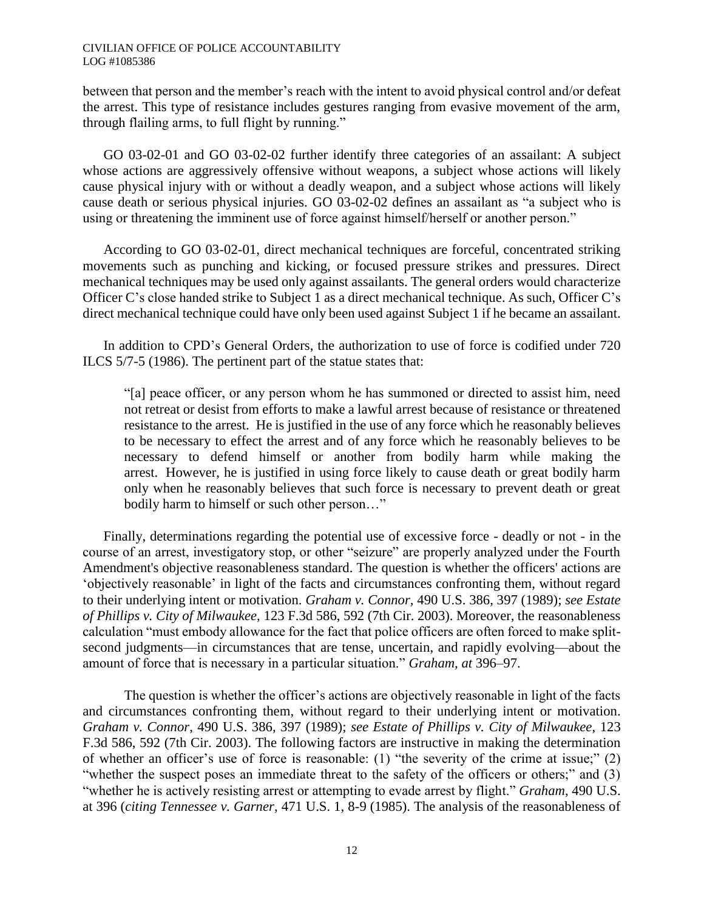between that person and the member's reach with the intent to avoid physical control and/or defeat the arrest. This type of resistance includes gestures ranging from evasive movement of the arm, through flailing arms, to full flight by running."

GO 03-02-01 and GO 03-02-02 further identify three categories of an assailant: A subject whose actions are aggressively offensive without weapons, a subject whose actions will likely cause physical injury with or without a deadly weapon, and a subject whose actions will likely cause death or serious physical injuries. GO 03-02-02 defines an assailant as "a subject who is using or threatening the imminent use of force against himself/herself or another person."

According to GO 03-02-01, direct mechanical techniques are forceful, concentrated striking movements such as punching and kicking, or focused pressure strikes and pressures. Direct mechanical techniques may be used only against assailants. The general orders would characterize Officer C's close handed strike to Subject 1 as a direct mechanical technique. As such, Officer C's direct mechanical technique could have only been used against Subject 1 if he became an assailant.

In addition to CPD's General Orders, the authorization to use of force is codified under 720 ILCS 5/7-5 (1986). The pertinent part of the statue states that:

"[a] peace officer, or any person whom he has summoned or directed to assist him, need not retreat or desist from efforts to make a lawful arrest because of resistance or threatened resistance to the arrest. He is justified in the use of any force which he reasonably believes to be necessary to effect the arrest and of any force which he reasonably believes to be necessary to defend himself or another from bodily harm while making the arrest. However, he is justified in using force likely to cause death or great bodily harm only when he reasonably believes that such force is necessary to prevent death or great bodily harm to himself or such other person…"

Finally, determinations regarding the potential use of excessive force - deadly or not - in the course of an arrest, investigatory stop, or other "seizure" are properly analyzed under the Fourth Amendment's objective reasonableness standard. The question is whether the officers' actions are 'objectively reasonable' in light of the facts and circumstances confronting them, without regard to their underlying intent or motivation. *Graham v. Connor,* 490 U.S. 386, 397 (1989); *see Estate of Phillips v. City of Milwaukee,* 123 F.3d 586, 592 (7th Cir. 2003). Moreover, the reasonableness calculation "must embody allowance for the fact that police officers are often forced to make splitsecond judgments—in circumstances that are tense, uncertain, and rapidly evolving—about the amount of force that is necessary in a particular situation." *Graham, at* 396–97.

The question is whether the officer's actions are objectively reasonable in light of the facts and circumstances confronting them, without regard to their underlying intent or motivation. *Graham v. Connor*, 490 U.S. 386, 397 (1989); *see Estate of Phillips v. City of Milwaukee*, 123 F.3d 586, 592 (7th Cir. 2003). The following factors are instructive in making the determination of whether an officer's use of force is reasonable: (1) "the severity of the crime at issue;" (2) "whether the suspect poses an immediate threat to the safety of the officers or others;" and (3) "whether he is actively resisting arrest or attempting to evade arrest by flight." *Graham*, 490 U.S. at 396 (*citing Tennessee v. Garner*, 471 U.S. 1, 8-9 (1985). The analysis of the reasonableness of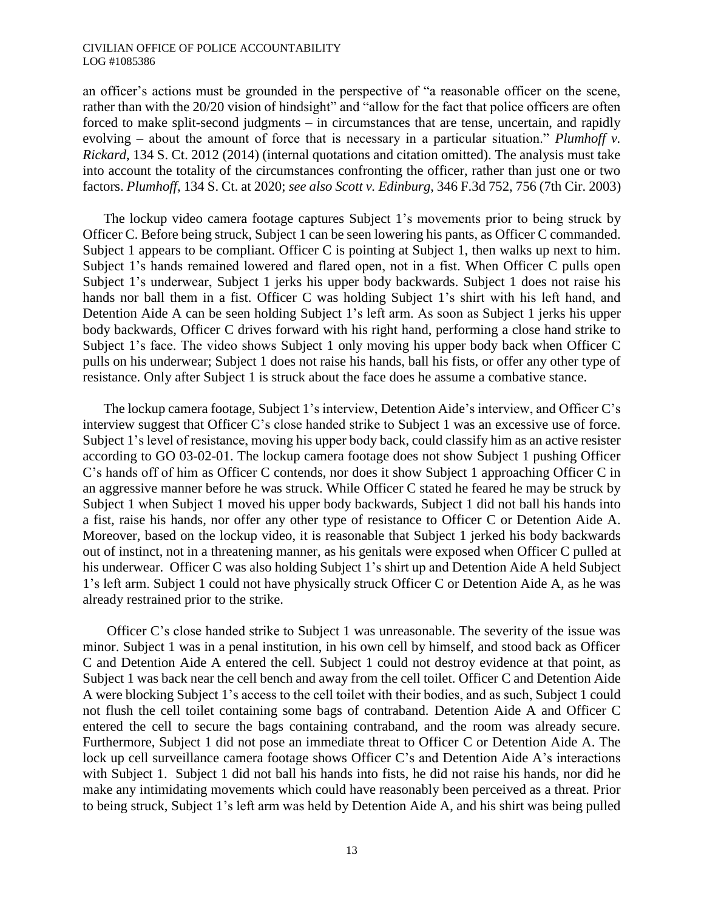an officer's actions must be grounded in the perspective of "a reasonable officer on the scene, rather than with the 20/20 vision of hindsight" and "allow for the fact that police officers are often forced to make split-second judgments – in circumstances that are tense, uncertain, and rapidly evolving – about the amount of force that is necessary in a particular situation." *Plumhoff v. Rickard*, 134 S. Ct. 2012 (2014) (internal quotations and citation omitted). The analysis must take into account the totality of the circumstances confronting the officer, rather than just one or two factors. *Plumhoff*, 134 S. Ct. at 2020; *see also Scott v. Edinburg*, 346 F.3d 752, 756 (7th Cir. 2003)

The lockup video camera footage captures Subject 1's movements prior to being struck by Officer C. Before being struck, Subject 1 can be seen lowering his pants, as Officer C commanded. Subject 1 appears to be compliant. Officer C is pointing at Subject 1, then walks up next to him. Subject 1's hands remained lowered and flared open, not in a fist. When Officer C pulls open Subject 1's underwear, Subject 1 jerks his upper body backwards. Subject 1 does not raise his hands nor ball them in a fist. Officer C was holding Subject 1's shirt with his left hand, and Detention Aide A can be seen holding Subject 1's left arm. As soon as Subject 1 jerks his upper body backwards, Officer C drives forward with his right hand, performing a close hand strike to Subject 1's face. The video shows Subject 1 only moving his upper body back when Officer C pulls on his underwear; Subject 1 does not raise his hands, ball his fists, or offer any other type of resistance. Only after Subject 1 is struck about the face does he assume a combative stance.

The lockup camera footage, Subject 1's interview, Detention Aide's interview, and Officer C's interview suggest that Officer C's close handed strike to Subject 1 was an excessive use of force. Subject 1's level of resistance, moving his upper body back, could classify him as an active resister according to GO 03-02-01. The lockup camera footage does not show Subject 1 pushing Officer C's hands off of him as Officer C contends, nor does it show Subject 1 approaching Officer C in an aggressive manner before he was struck. While Officer C stated he feared he may be struck by Subject 1 when Subject 1 moved his upper body backwards, Subject 1 did not ball his hands into a fist, raise his hands, nor offer any other type of resistance to Officer C or Detention Aide A. Moreover, based on the lockup video, it is reasonable that Subject 1 jerked his body backwards out of instinct, not in a threatening manner, as his genitals were exposed when Officer C pulled at his underwear. Officer C was also holding Subject 1's shirt up and Detention Aide A held Subject 1's left arm. Subject 1 could not have physically struck Officer C or Detention Aide A, as he was already restrained prior to the strike.

Officer C's close handed strike to Subject 1 was unreasonable. The severity of the issue was minor. Subject 1 was in a penal institution, in his own cell by himself, and stood back as Officer C and Detention Aide A entered the cell. Subject 1 could not destroy evidence at that point, as Subject 1 was back near the cell bench and away from the cell toilet. Officer C and Detention Aide A were blocking Subject 1's access to the cell toilet with their bodies, and as such, Subject 1 could not flush the cell toilet containing some bags of contraband. Detention Aide A and Officer C entered the cell to secure the bags containing contraband, and the room was already secure. Furthermore, Subject 1 did not pose an immediate threat to Officer C or Detention Aide A. The lock up cell surveillance camera footage shows Officer C's and Detention Aide A's interactions with Subject 1. Subject 1 did not ball his hands into fists, he did not raise his hands, nor did he make any intimidating movements which could have reasonably been perceived as a threat. Prior to being struck, Subject 1's left arm was held by Detention Aide A, and his shirt was being pulled